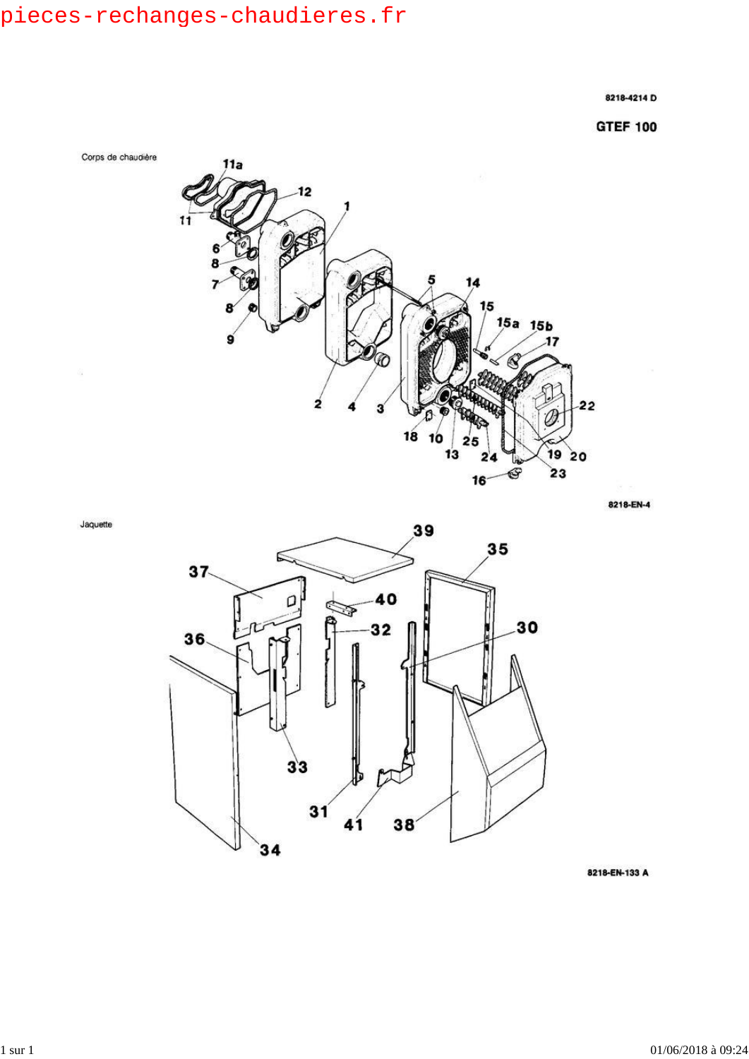$\widehat{\alpha}$ 

Jaquette

8218-4214 D

**GTEF 100** 



8218-EN-4



8218-EN-133 A

01/06/2018 à 09:24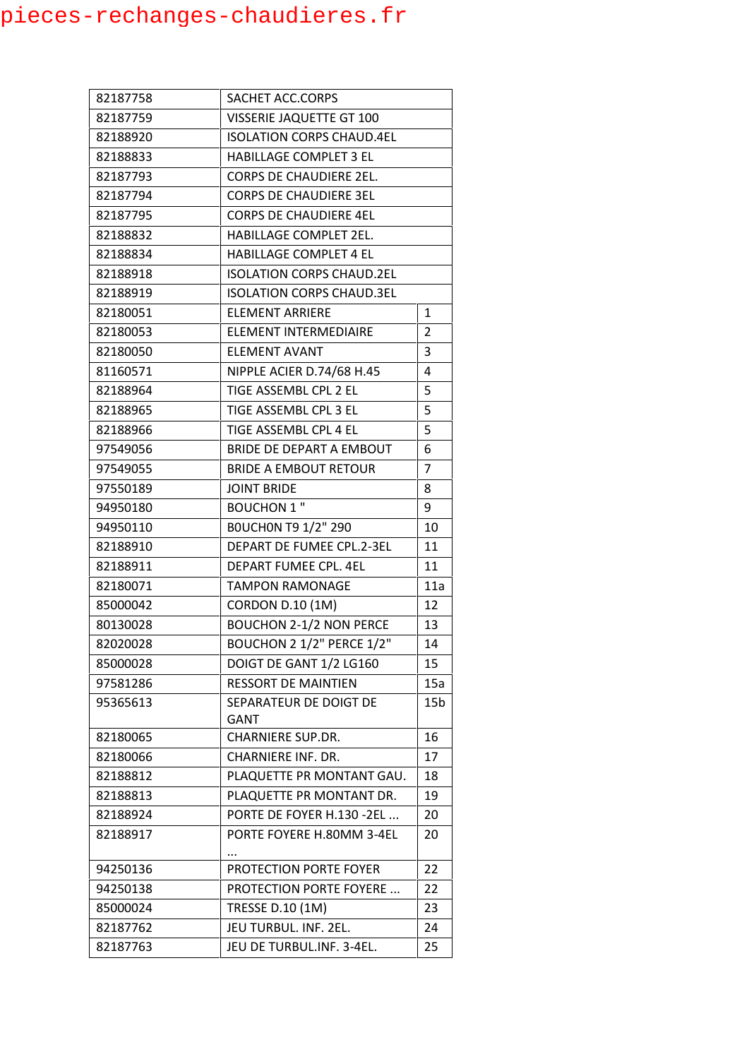| 82187758 | SACHET ACC.CORPS                 |                 |
|----------|----------------------------------|-----------------|
| 82187759 | VISSERIE JAQUETTE GT 100         |                 |
| 82188920 | <b>ISOLATION CORPS CHAUD.4EL</b> |                 |
| 82188833 | <b>HABILLAGE COMPLET 3 EL</b>    |                 |
| 82187793 | <b>CORPS DE CHAUDIERE 2EL.</b>   |                 |
| 82187794 | <b>CORPS DE CHAUDIERE 3EL</b>    |                 |
| 82187795 | <b>CORPS DE CHAUDIERE 4EL</b>    |                 |
| 82188832 | HABILLAGE COMPLET 2EL.           |                 |
| 82188834 | <b>HABILLAGE COMPLET 4 EL</b>    |                 |
| 82188918 | <b>ISOLATION CORPS CHAUD.2EL</b> |                 |
| 82188919 | <b>ISOLATION CORPS CHAUD.3EL</b> |                 |
| 82180051 | ELEMENT ARRIERE                  | 1               |
| 82180053 | ELEMENT INTERMEDIAIRE            | $\overline{2}$  |
| 82180050 | ELEMENT AVANT                    | 3               |
| 81160571 | NIPPLE ACIER D.74/68 H.45        | 4               |
| 82188964 | TIGE ASSEMBL CPL 2 EL            | 5               |
| 82188965 | TIGE ASSEMBL CPL 3 EL            | 5               |
| 82188966 | TIGE ASSEMBL CPL 4 EL            | 5               |
| 97549056 | BRIDE DE DEPART A EMBOUT         | 6               |
| 97549055 | <b>BRIDE A EMBOUT RETOUR</b>     | $\overline{7}$  |
| 97550189 | <b>JOINT BRIDE</b>               | 8               |
| 94950180 | <b>BOUCHON 1 "</b>               | 9               |
| 94950110 | <b>BOUCHON T9 1/2" 290</b>       | 10              |
| 82188910 | DEPART DE FUMEE CPL.2-3EL        | 11              |
| 82188911 | DEPART FUMEE CPL. 4EL            | 11              |
| 82180071 | <b>TAMPON RAMONAGE</b>           | 11a             |
| 85000042 | <b>CORDON D.10 (1M)</b>          | 12              |
| 80130028 | <b>BOUCHON 2-1/2 NON PERCE</b>   | 13              |
| 82020028 | BOUCHON 2 1/2" PERCE 1/2"        | 14              |
| 85000028 | DOIGT DE GANT 1/2 LG160          | 15              |
| 97581286 | <b>RESSORT DE MAINTIEN</b>       | 15a             |
| 95365613 | SEPARATEUR DE DOIGT DE           | 15 <sub>b</sub> |
|          | GANT                             |                 |
| 82180065 | <b>CHARNIERE SUP.DR.</b>         | 16              |
| 82180066 | CHARNIERE INF. DR.               | 17              |
| 82188812 | PLAQUETTE PR MONTANT GAU.        | 18              |
| 82188813 | PLAQUETTE PR MONTANT DR.         | 19              |
| 82188924 | PORTE DE FOYER H.130 -2EL        | 20              |
| 82188917 | PORTE FOYERE H.80MM 3-4EL        | 20              |
| 94250136 | PROTECTION PORTE FOYER           | 22              |
| 94250138 | PROTECTION PORTE FOYERE          | 22              |
| 85000024 | TRESSE D.10 (1M)                 | 23              |
| 82187762 | JEU TURBUL. INF. 2EL.            | 24              |
| 82187763 | JEU DE TURBUL.INF. 3-4EL.        | 25              |
|          |                                  |                 |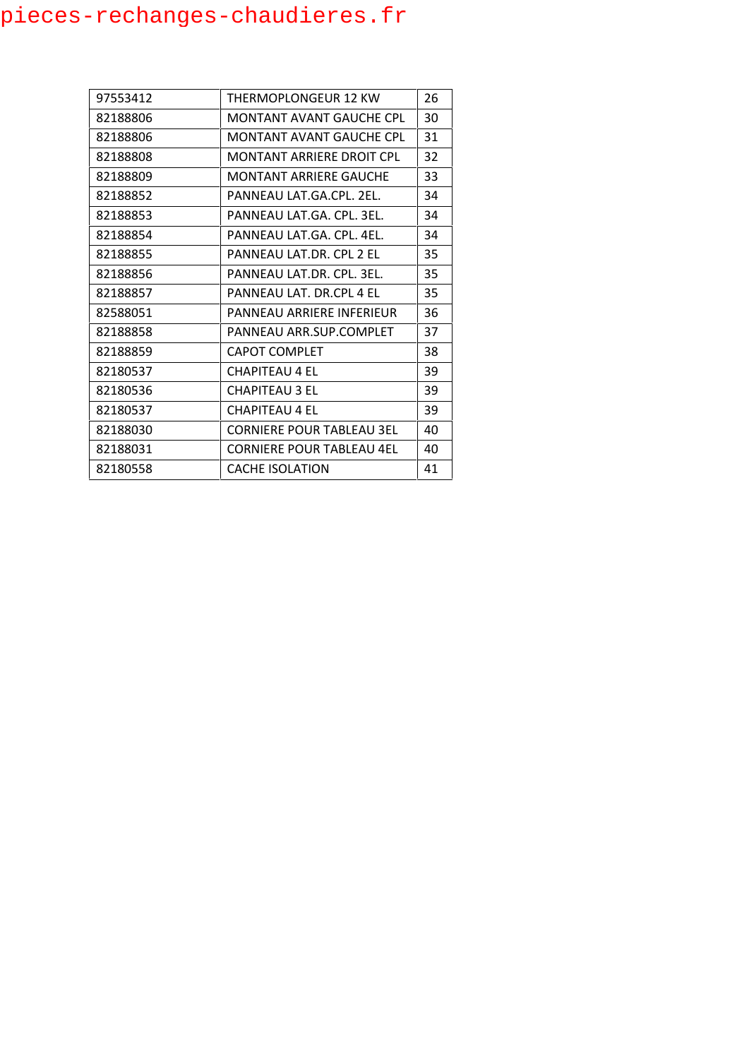| 97553412 | THERMOPLONGEUR 12 KW             | 26 |
|----------|----------------------------------|----|
| 82188806 | MONTANT AVANT GAUCHE CPL         | 30 |
| 82188806 | MONTANT AVANT GAUCHE CPL         | 31 |
| 82188808 | MONTANT ARRIERE DROIT CPL        | 32 |
| 82188809 | <b>MONTANT ARRIERE GAUCHE</b>    | 33 |
| 82188852 | PANNEAU LAT.GA.CPL. 2EL.         | 34 |
| 82188853 | PANNEAU LAT GA. CPL. 3EL.        | 34 |
| 82188854 | PANNEAU LAT.GA. CPL. 4EL.        | 34 |
| 82188855 | PANNEAU LAT.DR. CPL 2 FL         | 35 |
| 82188856 | PANNEAU LAT.DR. CPL. 3EL.        | 35 |
| 82188857 | PANNEAU LAT. DR.CPL 4 FL         | 35 |
| 82588051 | PANNEAU ARRIERE INFERIEUR        | 36 |
| 82188858 | PANNEAU ARR.SUP.COMPLET          | 37 |
| 82188859 | <b>CAPOT COMPLET</b>             | 38 |
| 82180537 | <b>CHAPITEAU 4 EL</b>            | 39 |
| 82180536 | CHAPITEAU 3 FL                   | 39 |
| 82180537 | <b>CHAPITEAU 4 EL</b>            | 39 |
| 82188030 | <b>CORNIERE POUR TABLEAU 3EL</b> | 40 |
| 82188031 | <b>CORNIERE POUR TABLEAU 4EL</b> | 40 |
| 82180558 | <b>CACHE ISOLATION</b>           | 41 |
|          |                                  |    |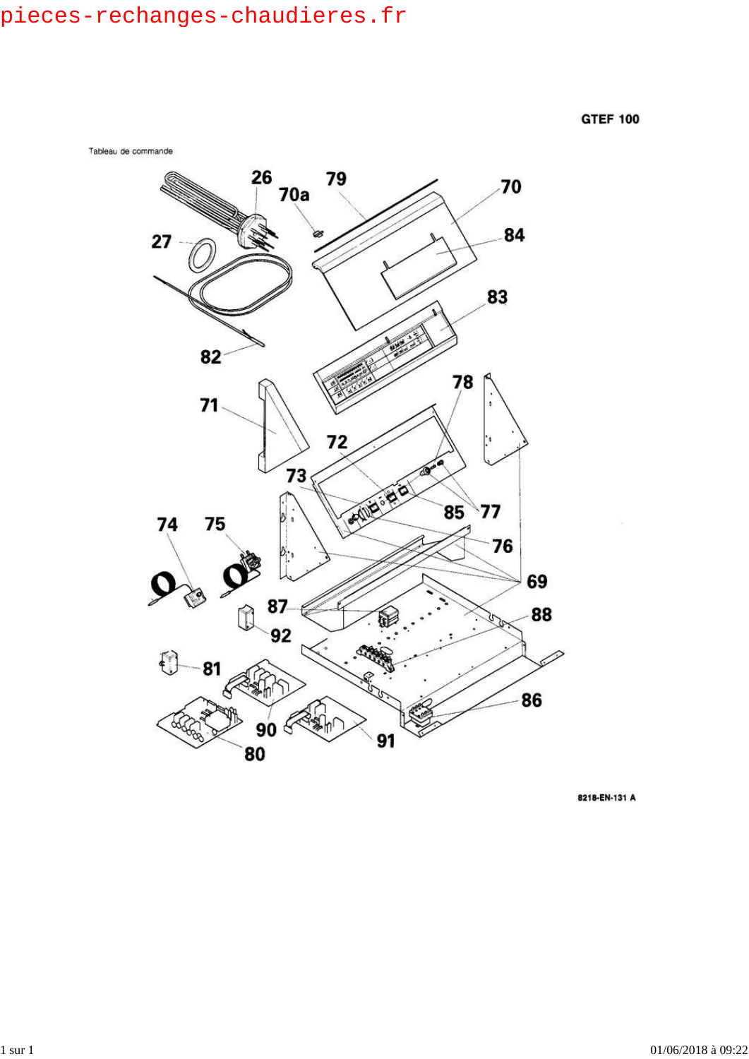

8218-EN-131 A

 $1$  sur  $1$